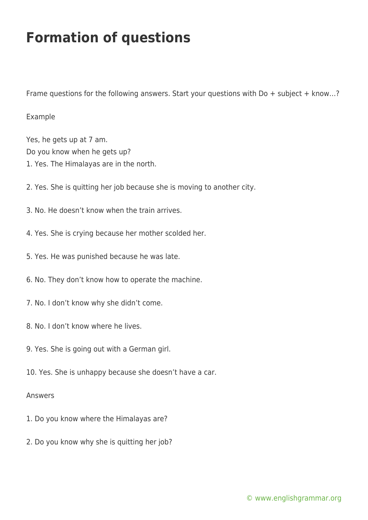## **Formation of questions**

Frame questions for the following answers. Start your questions with Do + subject + know…?

## Example

Yes, he gets up at 7 am. Do you know when he gets up? 1. Yes. The Himalayas are in the north.

- 2. Yes. She is quitting her job because she is moving to another city.
- 3. No. He doesn't know when the train arrives.
- 4. Yes. She is crying because her mother scolded her.
- 5. Yes. He was punished because he was late.
- 6. No. They don't know how to operate the machine.
- 7. No. I don't know why she didn't come.
- 8. No. I don't know where he lives.
- 9. Yes. She is going out with a German girl.
- 10. Yes. She is unhappy because she doesn't have a car.

## Answers

- 1. Do you know where the Himalayas are?
- 2. Do you know why she is quitting her job?